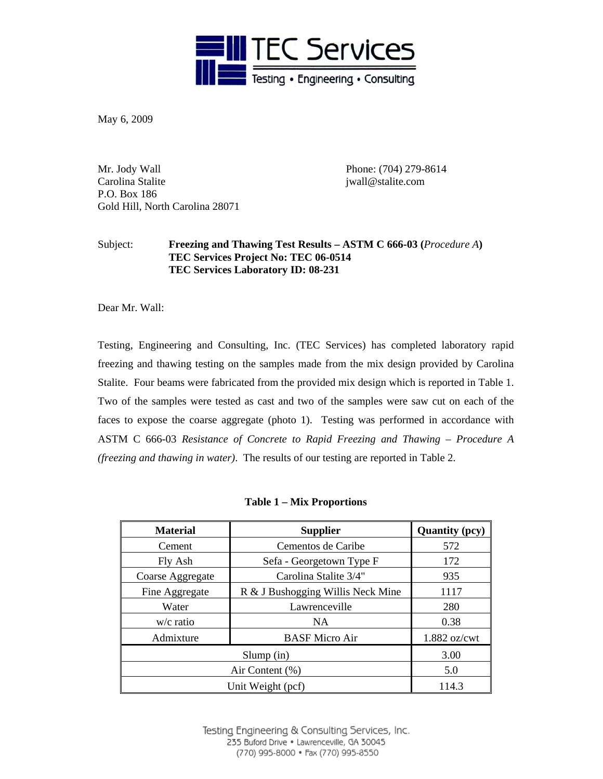

May 6, 2009

Mr. Jody Wall Phone: (704) 279-8614 Carolina Stalite in the status of the status in the status of the status of the status of the status of the status of the status of the status of the status of the status of the status of the status of the status of the st P.O. Box 186 Gold Hill, North Carolina 28071

## Subject: **Freezing and Thawing Test Results – ASTM C 666-03 (***Procedure A***) TEC Services Project No: TEC 06-0514 TEC Services Laboratory ID: 08-231**

Dear Mr. Wall:

Testing, Engineering and Consulting, Inc. (TEC Services) has completed laboratory rapid freezing and thawing testing on the samples made from the mix design provided by Carolina Stalite. Four beams were fabricated from the provided mix design which is reported in Table 1. Two of the samples were tested as cast and two of the samples were saw cut on each of the faces to expose the coarse aggregate (photo 1). Testing was performed in accordance with ASTM C 666-03 *Resistance of Concrete to Rapid Freezing and Thawing – Procedure A (freezing and thawing in water)*. The results of our testing are reported in Table 2.

|  |  | <b>Table 1 – Mix Proportions</b> |
|--|--|----------------------------------|
|--|--|----------------------------------|

| <b>Material</b>    | <b>Supplier</b>                   | <b>Quantity (pcy)</b> |
|--------------------|-----------------------------------|-----------------------|
| Cement             | Cementos de Caribe                | 572                   |
| Fly Ash            | Sefa - Georgetown Type F          | 172                   |
| Coarse Aggregate   | Carolina Stalite 3/4"             | 935                   |
| Fine Aggregate     | R & J Bushogging Willis Neck Mine | 1117                  |
| Water              | Lawrenceville                     | 280                   |
| $w/c$ ratio        | NA                                | 0.38                  |
| Admixture          | <b>BASF Micro Air</b>             | 1.882 oz/cwt          |
| $Slump$ (in)       |                                   | 3.00                  |
| Air Content $(\%)$ |                                   | 5.0                   |
| Unit Weight (pcf)  |                                   | 114.3                 |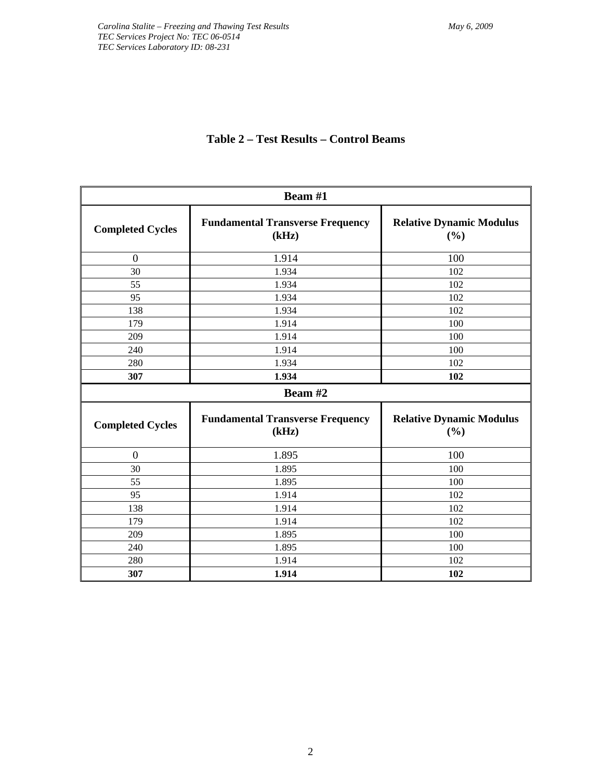|                         | Beam #1                                          |                                        |  |  |  |
|-------------------------|--------------------------------------------------|----------------------------------------|--|--|--|
| <b>Completed Cycles</b> | <b>Fundamental Transverse Frequency</b><br>(kHz) | <b>Relative Dynamic Modulus</b><br>(%) |  |  |  |
| $\boldsymbol{0}$        | 1.914                                            | 100                                    |  |  |  |
| 30                      | 1.934                                            | 102                                    |  |  |  |
| 55                      | 1.934                                            | 102                                    |  |  |  |
| 95                      | 1.934                                            | 102                                    |  |  |  |
| 138                     | 1.934                                            | 102                                    |  |  |  |
| 179                     | 1.914                                            | 100                                    |  |  |  |
| 209                     | 1.914                                            | 100                                    |  |  |  |
| 240                     | 1.914                                            | 100                                    |  |  |  |
| 280                     | 1.934                                            | 102                                    |  |  |  |
| 307                     | 1.934                                            | 102                                    |  |  |  |
|                         | Beam #2                                          |                                        |  |  |  |
| <b>Completed Cycles</b> | <b>Fundamental Transverse Frequency</b><br>(kHz) | <b>Relative Dynamic Modulus</b><br>(%) |  |  |  |
| $\boldsymbol{0}$        | 1.895                                            | 100                                    |  |  |  |
| 30                      | 1.895                                            | 100                                    |  |  |  |
| 55                      | 1.895                                            | 100                                    |  |  |  |
| 95                      | 1.914                                            | 102                                    |  |  |  |
| 138                     | 1.914                                            | 102                                    |  |  |  |
| 179                     | 1.914                                            | 102                                    |  |  |  |
| 209                     | 1.895                                            | 100                                    |  |  |  |
| 240                     | 1.895                                            | 100                                    |  |  |  |
| 280                     | 1.914                                            | 102                                    |  |  |  |
| 307                     | 1.914                                            | 102                                    |  |  |  |

## **Table 2 – Test Results – Control Beams**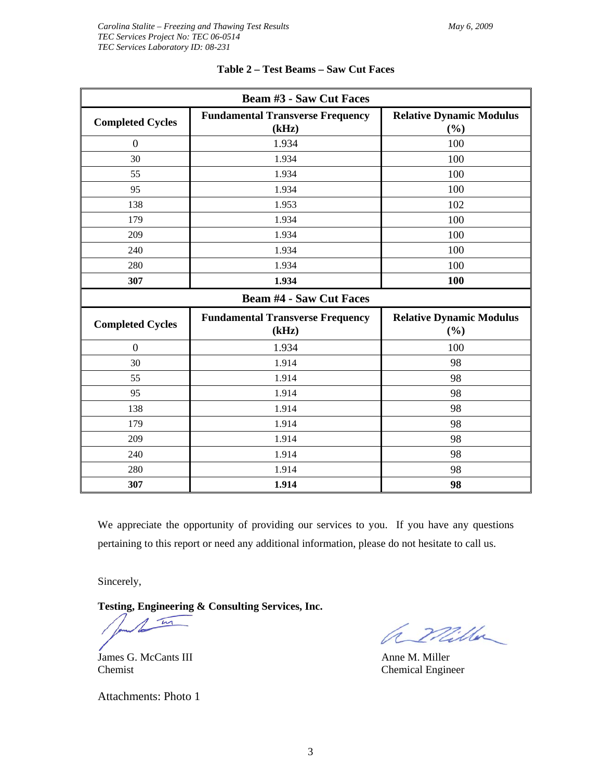| <b>Beam #3 - Saw Cut Faces</b> |                                                  |                                        |  |  |
|--------------------------------|--------------------------------------------------|----------------------------------------|--|--|
| <b>Completed Cycles</b>        | <b>Fundamental Transverse Frequency</b><br>(kHz) | <b>Relative Dynamic Modulus</b><br>(%) |  |  |
| $\overline{0}$                 | 1.934                                            | 100                                    |  |  |
| 30                             | 1.934                                            | 100                                    |  |  |
| 55                             | 1.934                                            | 100                                    |  |  |
| 95                             | 1.934                                            | 100                                    |  |  |
| 138                            | 1.953                                            | 102                                    |  |  |
| 179                            | 1.934                                            | 100                                    |  |  |
| 209                            | 1.934                                            | 100                                    |  |  |
| 240                            | 1.934                                            | 100                                    |  |  |
| 280                            | 1.934                                            | 100                                    |  |  |
| 307                            | 1.934                                            | 100                                    |  |  |
| <b>Beam #4 - Saw Cut Faces</b> |                                                  |                                        |  |  |
| <b>Completed Cycles</b>        | <b>Fundamental Transverse Frequency</b>          | <b>Relative Dynamic Modulus</b>        |  |  |
|                                | (kHz)                                            | (%)                                    |  |  |
| $\overline{0}$                 | 1.934                                            | 100                                    |  |  |
| 30                             | 1.914                                            | 98                                     |  |  |
| 55                             | 1.914                                            | 98                                     |  |  |
| 95                             | 1.914                                            | 98                                     |  |  |
| 138                            | 1.914                                            | 98                                     |  |  |
| 179                            | 1.914                                            | 98                                     |  |  |
| 209                            | 1.914                                            | 98                                     |  |  |
| 240                            | 1.914                                            | 98                                     |  |  |
| 280                            | 1.914                                            | 98                                     |  |  |
| 307                            | 1.914                                            | 98                                     |  |  |

**Table 2 – Test Beams – Saw Cut Faces** 

We appreciate the opportunity of providing our services to you. If you have any questions pertaining to this report or need any additional information, please do not hesitate to call us.

Sincerely,

**Testing, Engineering & Consulting Services, Inc.** 

m

Chemist Chemical Engineer

James G. McCants III Anne M. Miller

Attachments: Photo 1